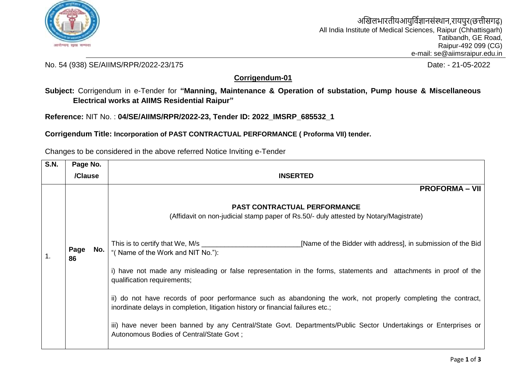

No. 54 (938) SE/AIIMS/RPR/2022-23/175 Date: - 21-05-2022

## **Corrigendum-01**

**Subject:** Corrigendum in e-Tender for **"Manning, Maintenance & Operation of substation, Pump house & Miscellaneous Electrical works at AIIMS Residential Raipur"**

**Reference:** NIT No. : **04/SE/AIIMS/RPR/2022-23, Tender ID: 2022\_IMSRP\_685532\_1**

**Corrigendum Title: Incorporation of PAST CONTRACTUAL PERFORMANCE ( Proforma VII) tender.**

Changes to be considered in the above referred Notice Inviting e-Tender

| <b>S.N.</b> | Page No.          |                                                                                                                                                                                                   |  |  |  |  |  |  |
|-------------|-------------------|---------------------------------------------------------------------------------------------------------------------------------------------------------------------------------------------------|--|--|--|--|--|--|
|             | /Clause           | <b>INSERTED</b>                                                                                                                                                                                   |  |  |  |  |  |  |
|             |                   | <b>PROFORMA – VII</b>                                                                                                                                                                             |  |  |  |  |  |  |
|             |                   | <b>PAST CONTRACTUAL PERFORMANCE</b>                                                                                                                                                               |  |  |  |  |  |  |
|             |                   | (Affidavit on non-judicial stamp paper of Rs.50/- duly attested by Notary/Magistrate)                                                                                                             |  |  |  |  |  |  |
| .1          | Page<br>No.<br>86 | This is to certify that We, M/s ______________<br>[Name of the Bidder with address], in submission of the Bid<br>"(Name of the Work and NIT No."):                                                |  |  |  |  |  |  |
|             |                   | i) have not made any misleading or false representation in the forms, statements and attachments in proof of the<br>qualification requirements;                                                   |  |  |  |  |  |  |
|             |                   | ii) do not have records of poor performance such as abandoning the work, not properly completing the contract,<br>inordinate delays in completion, litigation history or financial failures etc.; |  |  |  |  |  |  |
|             |                   | iii) have never been banned by any Central/State Govt. Departments/Public Sector Undertakings or Enterprises or<br>Autonomous Bodies of Central/State Govt;                                       |  |  |  |  |  |  |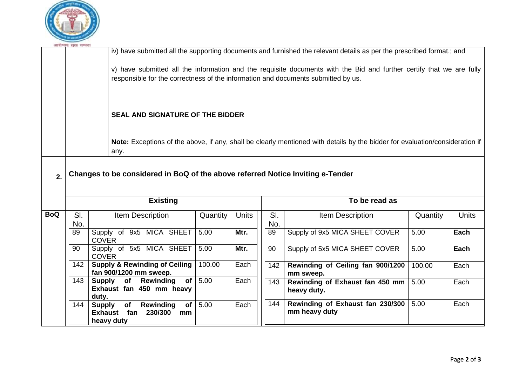

|            | आरोप्यम् सुख सम्पदा                                                                                                                                                                                                                                  |                                                                                                |          |              |  |               |                                                   |          |       |  |  |
|------------|------------------------------------------------------------------------------------------------------------------------------------------------------------------------------------------------------------------------------------------------------|------------------------------------------------------------------------------------------------|----------|--------------|--|---------------|---------------------------------------------------|----------|-------|--|--|
|            | iv) have submitted all the supporting documents and furnished the relevant details as per the prescribed format.; and                                                                                                                                |                                                                                                |          |              |  |               |                                                   |          |       |  |  |
|            | v) have submitted all the information and the requisite documents with the Bid and further certify that we are fully<br>responsible for the correctness of the information and documents submitted by us.<br><b>SEAL AND SIGNATURE OF THE BIDDER</b> |                                                                                                |          |              |  |               |                                                   |          |       |  |  |
|            |                                                                                                                                                                                                                                                      |                                                                                                |          |              |  |               |                                                   |          |       |  |  |
|            | Note: Exceptions of the above, if any, shall be clearly mentioned with details by the bidder for evaluation/consideration if<br>any.                                                                                                                 |                                                                                                |          |              |  |               |                                                   |          |       |  |  |
| 2.         | Changes to be considered in BoQ of the above referred Notice Inviting e-Tender                                                                                                                                                                       |                                                                                                |          |              |  |               |                                                   |          |       |  |  |
|            |                                                                                                                                                                                                                                                      | <b>Existing</b>                                                                                |          |              |  | To be read as |                                                   |          |       |  |  |
| <b>BoQ</b> | SI.<br>No.                                                                                                                                                                                                                                           | Item Description                                                                               | Quantity | <b>Units</b> |  | SI.<br>No.    | Item Description                                  | Quantity | Units |  |  |
|            | 89                                                                                                                                                                                                                                                   | Supply of 9x5 MICA SHEET<br><b>COVER</b>                                                       | 5.00     | Mtr.         |  | 89            | Supply of 9x5 MICA SHEET COVER                    | 5.00     | Each  |  |  |
|            | 90                                                                                                                                                                                                                                                   | Supply of 5x5 MICA SHEET<br><b>COVER</b>                                                       | 5.00     | Mtr.         |  | 90            | Supply of 5x5 MICA SHEET COVER                    | 5.00     | Each  |  |  |
|            | 142                                                                                                                                                                                                                                                  | <b>Supply &amp; Rewinding of Ceiling</b><br>fan 900/1200 mm sweep.                             | 100.00   | Each         |  | 142           | Rewinding of Ceiling fan 900/1200<br>mm sweep.    | 100.00   | Each  |  |  |
|            | 143                                                                                                                                                                                                                                                  | of<br>of Rewinding<br><b>Supply</b><br>Exhaust fan 450 mm heavy<br>duty.                       | 5.00     | Each         |  | 143           | Rewinding of Exhaust fan 450 mm<br>heavy duty.    | 5.00     | Each  |  |  |
|            | 144                                                                                                                                                                                                                                                  | Rewinding<br>of<br>of<br><b>Supply</b><br><b>Exhaust</b><br>230/300<br>fan<br>mm<br>heavy duty | 5.00     | Each         |  | 144           | Rewinding of Exhaust fan 230/300<br>mm heavy duty | 5.00     | Each  |  |  |